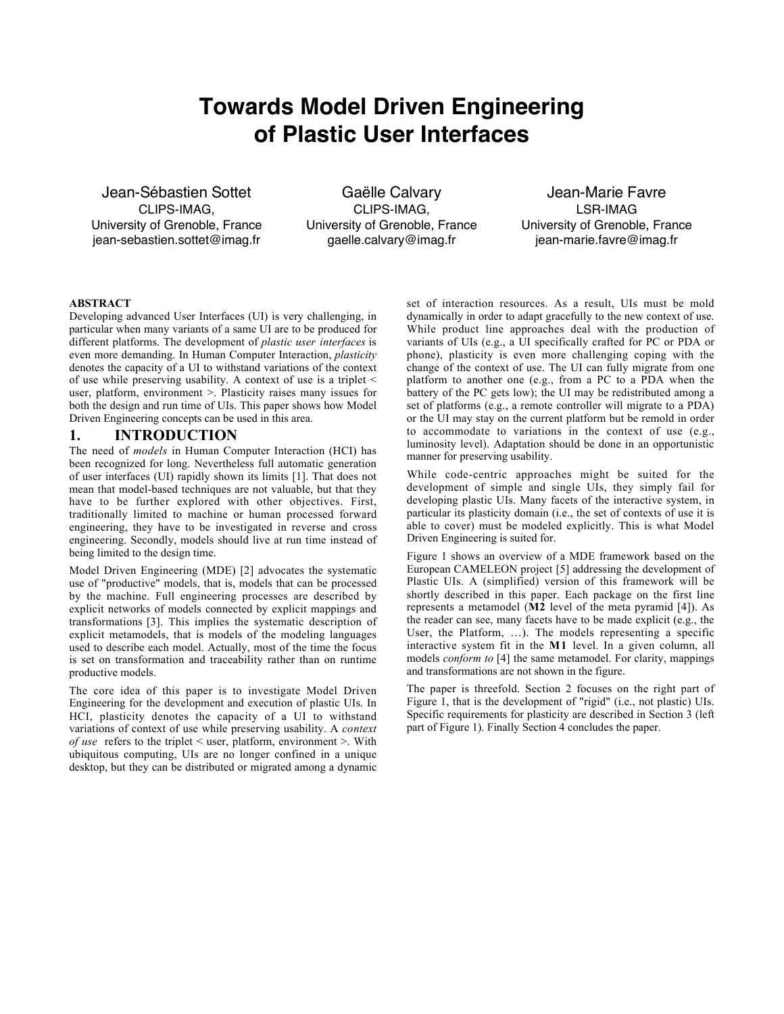# **Towards Model Driven Engineering of Plastic User Interfaces**

Jean-Sébastien Sottet CLIPS-IMAG, University of Grenoble, France jean-sebastien.sottet@imag.fr

Gaëlle Calvary CLIPS-IMAG, University of Grenoble, France gaelle.calvary@imag.fr

Jean-Marie Favre LSR-IMAG University of Grenoble, France jean-marie.favre@imag.fr

#### ABSTRACT

Developing advanced User Interfaces (UI) is very challenging, in particular when many variants of a same UI are to be produced for different platforms. The development of *plastic user interfaces* is even more demanding. In Human Computer Interaction, *plasticity* denotes the capacity of a UI to withstand variations of the context of use while preserving usability. A context of use is a triplet < user, platform, environment >. Plasticity raises many issues for both the design and run time of UIs. This paper shows how Model Driven Engineering concepts can be used in this area.

### 1. INTRODUCTION

The need of *models* in Human Computer Interaction (HCI) has been recognized for long. Nevertheless full automatic generation of user interfaces (UI) rapidly shown its limits [1]. That does not mean that model-based techniques are not valuable, but that they have to be further explored with other objectives. First, traditionally limited to machine or human processed forward engineering, they have to be investigated in reverse and cross engineering. Secondly, models should live at run time instead of being limited to the design time.

Model Driven Engineering (MDE) [2] advocates the systematic use of "productive" models, that is, models that can be processed by the machine. Full engineering processes are described by explicit networks of models connected by explicit mappings and transformations [3]. This implies the systematic description of explicit metamodels, that is models of the modeling languages used to describe each model. Actually, most of the time the focus is set on transformation and traceability rather than on runtime productive models.

The core idea of this paper is to investigate Model Driven Engineering for the development and execution of plastic UIs. In HCI, plasticity denotes the capacity of a UI to withstand variations of context of use while preserving usability. A *context of use* refers to the triplet < user, platform, environment >. With ubiquitous computing, UIs are no longer confined in a unique desktop, but they can be distributed or migrated among a dynamic

set of interaction resources. As a result, UIs must be mold dynamically in order to adapt gracefully to the new context of use. While product line approaches deal with the production of variants of UIs (e.g., a UI specifically crafted for PC or PDA or phone), plasticity is even more challenging coping with the change of the context of use. The UI can fully migrate from one platform to another one (e.g., from a PC to a PDA when the battery of the PC gets low); the UI may be redistributed among a set of platforms (e.g., a remote controller will migrate to a PDA) or the UI may stay on the current platform but be remold in order to accommodate to variations in the context of use (e.g., luminosity level). Adaptation should be done in an opportunistic manner for preserving usability.

While code-centric approaches might be suited for the development of simple and single UIs, they simply fail for developing plastic UIs. Many facets of the interactive system, in particular its plasticity domain (i.e., the set of contexts of use it is able to cover) must be modeled explicitly. This is what Model Driven Engineering is suited for.

Figure 1 shows an overview of a MDE framework based on the European CAMELEON project [5] addressing the development of Plastic UIs. A (simplified) version of this framework will be shortly described in this paper. Each package on the first line represents a metamodel (M2 level of the meta pyramid [4]). As the reader can see, many facets have to be made explicit (e.g., the User, the Platform, …). The models representing a specific interactive system fit in the M1 level. In a given column, all models *conform to* [4] the same metamodel. For clarity, mappings and transformations are not shown in the figure.

The paper is threefold. Section 2 focuses on the right part of Figure 1, that is the development of "rigid" (i.e., not plastic) UIs. Specific requirements for plasticity are described in Section 3 (left part of Figure 1). Finally Section 4 concludes the paper.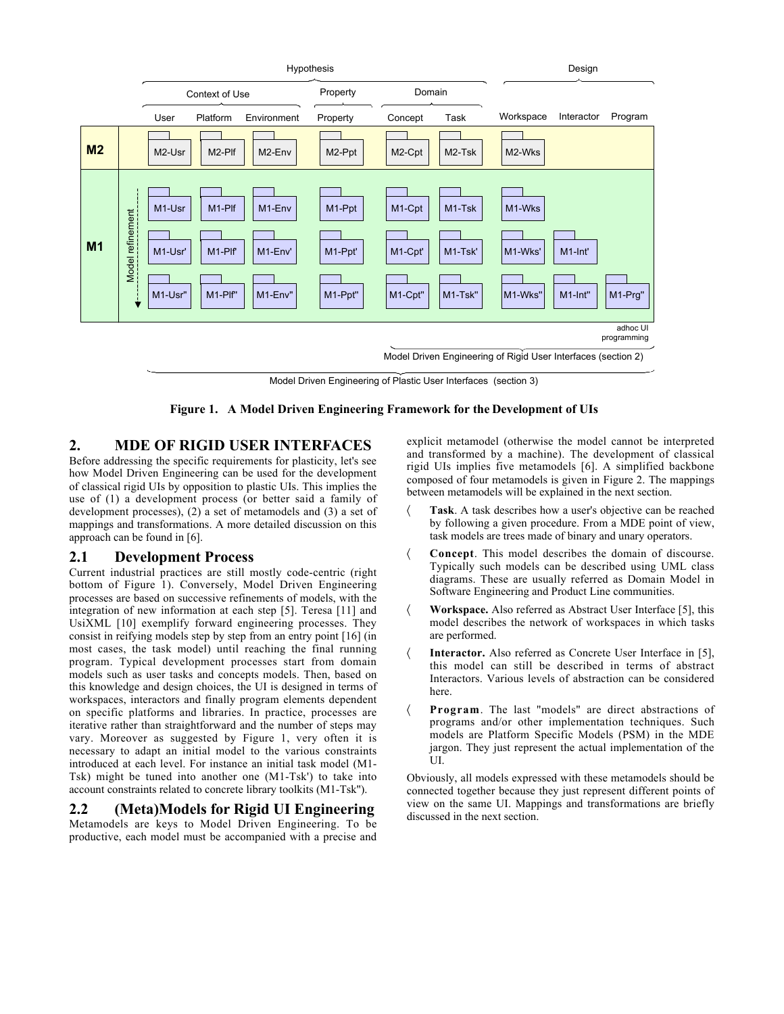

Model Driven Engineering of Plastic User Interfaces (section 3)

Figure 1. A Model Driven Engineering Framework for the Development of UIs

# 2. MDE OF RIGID USER INTERFACES

Before addressing the specific requirements for plasticity, let's see how Model Driven Engineering can be used for the development of classical rigid UIs by opposition to plastic UIs. This implies the use of (1) a development process (or better said a family of development processes), (2) a set of metamodels and (3) a set of mappings and transformations. A more detailed discussion on this approach can be found in [6].

## 2.1 Development Process

Current industrial practices are still mostly code-centric (right bottom of Figure 1). Conversely, Model Driven Engineering processes are based on successive refinements of models, with the integration of new information at each step [5]. Teresa [11] and UsiXML [10] exemplify forward engineering processes. They consist in reifying models step by step from an entry point [16] (in most cases, the task model) until reaching the final running program. Typical development processes start from domain models such as user tasks and concepts models. Then, based on this knowledge and design choices, the UI is designed in terms of workspaces, interactors and finally program elements dependent on specific platforms and libraries. In practice, processes are iterative rather than straightforward and the number of steps may vary. Moreover as suggested by Figure 1, very often it is necessary to adapt an initial model to the various constraints introduced at each level. For instance an initial task model (M1- Tsk) might be tuned into another one (M1-Tsk') to take into account constraints related to concrete library toolkits (M1-Tsk'').

## 2.2 (Meta)Models for Rigid UI Engineering

Metamodels are keys to Model Driven Engineering. To be productive, each model must be accompanied with a precise and explicit metamodel (otherwise the model cannot be interpreted and transformed by a machine). The development of classical rigid UIs implies five metamodels [6]. A simplified backbone composed of four metamodels is given in Figure 2. The mappings between metamodels will be explained in the next section.

- 〈 Task. A task describes how a user's objective can be reached by following a given procedure. From a MDE point of view, task models are trees made of binary and unary operators.
- Concept. This model describes the domain of discourse. Typically such models can be described using UML class diagrams. These are usually referred as Domain Model in Software Engineering and Product Line communities.
- 〈 Workspace. Also referred as Abstract User Interface [5], this model describes the network of workspaces in which tasks are performed.
- 〈 Interactor. Also referred as Concrete User Interface in [5], this model can still be described in terms of abstract Interactors. Various levels of abstraction can be considered here.
- Program. The last "models" are direct abstractions of programs and/or other implementation techniques. Such models are Platform Specific Models (PSM) in the MDE jargon. They just represent the actual implementation of the UI.

Obviously, all models expressed with these metamodels should be connected together because they just represent different points of view on the same UI. Mappings and transformations are briefly discussed in the next section.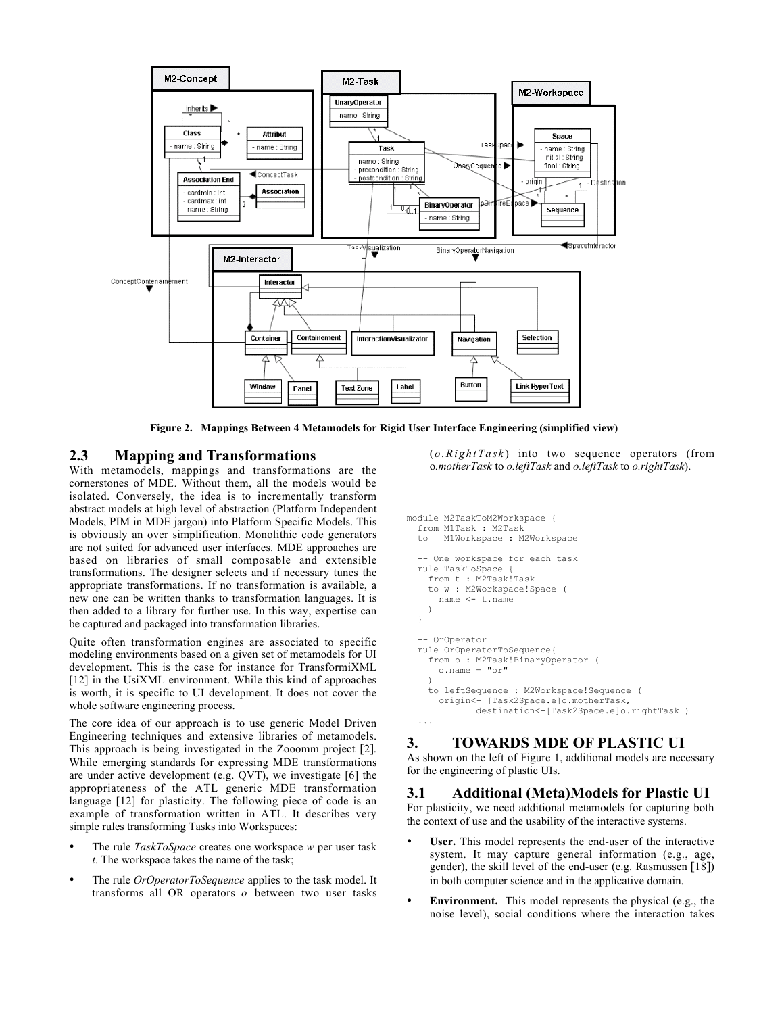

Figure 2. Mappings Between 4 Metamodels for Rigid User Interface Engineering (simplified view)

# 2.3 Mapping and Transformations

With metamodels, mappings and transformations are the cornerstones of MDE. Without them, all the models would be isolated. Conversely, the idea is to incrementally transform abstract models at high level of abstraction (Platform Independent Models, PIM in MDE jargon) into Platform Specific Models. This is obviously an over simplification. Monolithic code generators are not suited for advanced user interfaces. MDE approaches are based on libraries of small composable and extensible transformations. The designer selects and if necessary tunes the appropriate transformations. If no transformation is available, a new one can be written thanks to transformation languages. It is then added to a library for further use. In this way, expertise can be captured and packaged into transformation libraries.

Quite often transformation engines are associated to specific modeling environments based on a given set of metamodels for UI development. This is the case for instance for TransformiXML [12] in the UsiXML environment. While this kind of approaches is worth, it is specific to UI development. It does not cover the whole software engineering process.

The core idea of our approach is to use generic Model Driven Engineering techniques and extensive libraries of metamodels. This approach is being investigated in the Zooomm project [2]. While emerging standards for expressing MDE transformations are under active development (e.g. QVT), we investigate [6] the appropriateness of the ATL generic MDE transformation language [12] for plasticity. The following piece of code is an example of transformation written in ATL. It describes very simple rules transforming Tasks into Workspaces:

- The rule *TaskToSpace* creates one workspace *w* per user task *t*. The workspace takes the name of the task;
- The rule *OrOperatorToSequence* applies to the task model. It transforms all OR operators *o* between two user tasks

(*o.RightTask* ) into two sequence operators (from o*.motherTask* to *o.leftTask* and *o.leftTask* to *o.rightTask*).

```
module M2TaskToM2Workspace {
   from M1Task : M2Task
   to M1Workspace : M2Workspace
   -- One workspace for each task
   rule TaskToSpace {
     from t : M2Task!Task
     to w : M2Workspace!Space (
       name <- t.name
     )
   }
   -- OrOperator
   rule OrOperatorToSequence{
     from o : M2Task!BinaryOperator (
       o.name = "or"
\qquad \qquad to leftSequence : M2Workspace!Sequence (
       origin<- [Task2Space.e]o.motherTask,
               destination<-[Task2Space.e]o.rightTask )
   ...
```
# 3. TOWARDS MDE OF PLASTIC UI

As shown on the left of Figure 1, additional models are necessary for the engineering of plastic UIs.

## 3.1 Additional (Meta)Models for Plastic UI

For plasticity, we need additional metamodels for capturing both the context of use and the usability of the interactive systems.

- User. This model represents the end-user of the interactive system. It may capture general information (e.g., age, gender), the skill level of the end-user (e.g. Rasmussen [18]) in both computer science and in the applicative domain.
- Environment. This model represents the physical (e.g., the noise level), social conditions where the interaction takes